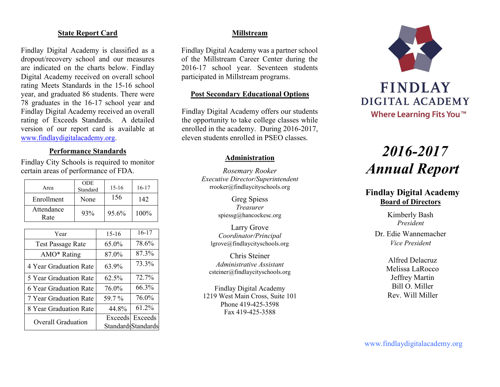# **State Report Card**

Findlay Digital Academy is classified as a dropout/recovery school and our measures are indicated on the charts below. Findlay Digital Academy received on overall school rating Meets Standards in the 15-16 school year, and graduated 86 students. There were 78 graduates in the 16-17 school year and Findlay Digital Academy received an overall rating of Exceeds Standards. A detailed version of our report card is available at [www.findlaydigitalacademy.org.](http://www.findlaydigitalacademy.org/)

### **Performance Standards**

Findlay City Schools is required to monitor certain areas of performance of FDA.

| Area               | <b>ODE</b><br>Standard | $15 - 16$ | 16-17 |
|--------------------|------------------------|-----------|-------|
| Enrollment         | None                   | 156       | 142   |
| Attendance<br>Rate | 93%                    | 95.6%     | 100%  |

| Year                     | $15-16$ | $16-17$             |
|--------------------------|---------|---------------------|
| <b>Test Passage Rate</b> | 65.0%   | 78.6%               |
| AMO* Rating              | 87.0%   | 87.3%               |
| 4 Year Graduation Rate   | 63.9%   | 73.3%               |
| 5 Year Graduation Rate   | 62.5%   | 72.7%               |
| 6 Year Graduation Rate   | 76.0%   | 66.3%               |
| 7 Year Graduation Rate   | 59.7 %  | 76.0%               |
| 8 Year Graduation Rate   | 44.8%   | 61.2%               |
| Overall Graduation       |         | Exceeds Exceeds     |
|                          |         | Standards Standards |

# **Millstream**

Findlay Digital Academy was a partner school of the Millstream Career Center during the 2016-17 school year. Seventeen students participated in Millstream programs.

# **Post Secondary Educational Options**

Findlay Digital Academy offers our students the opportunity to take college classes while enrolled in the academy. During 2016-2017, eleven students enrolled in PSEO classes.

#### **Administration**

*Rosemary Rooker Executive Director/Superintendent* rrooker@findlaycityschools.org

> Greg Spiess *Treasurer* spiessg@hancockesc.org

Larry Grove *Coordinator/Principal* lgrove@findlaycityschools.org

Chris Steiner *Administrative Assistant* csteiner@findlaycityschools.org

Findlay Digital Academy 1219 West Main Cross, Suite 101 Phone 419-425-3598 Fax 419-425-3588



# *2016-2017 Annual Report*

# **Findlay Digital Academy Board of Directors**

Kimberly Bash *President*

Dr. Edie Wannemacher *Vice President*

> Alfred Delacruz Melissa LaRocco Jeffrey Martin Bill O. Miller Rev. Will Miller

www.findlaydigitalacademy.org